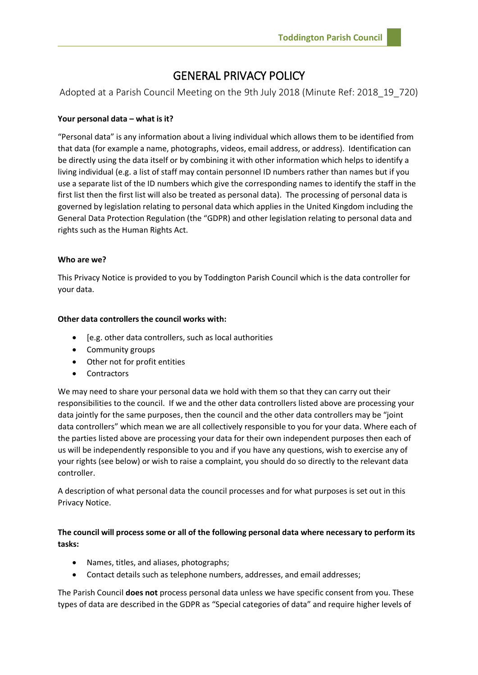# GENERAL PRIVACY POLICY

Adopted at a Parish Council Meeting on the 9th July 2018 (Minute Ref: 2018\_19\_720)

# **Your personal data – what is it?**

"Personal data" is any information about a living individual which allows them to be identified from that data (for example a name, photographs, videos, email address, or address). Identification can be directly using the data itself or by combining it with other information which helps to identify a living individual (e.g. a list of staff may contain personnel ID numbers rather than names but if you use a separate list of the ID numbers which give the corresponding names to identify the staff in the first list then the first list will also be treated as personal data). The processing of personal data is governed by legislation relating to personal data which applies in the United Kingdom including the General Data Protection Regulation (the "GDPR) and other legislation relating to personal data and rights such as the Human Rights Act.

# **Who are we?**

This Privacy Notice is provided to you by Toddington Parish Council which is the data controller for your data.

# **Other data controllers the council works with:**

- [e.g. other data controllers, such as local authorities
- Community groups
- Other not for profit entities
- **Contractors**

We may need to share your personal data we hold with them so that they can carry out their responsibilities to the council. If we and the other data controllers listed above are processing your data jointly for the same purposes, then the council and the other data controllers may be "joint data controllers" which mean we are all collectively responsible to you for your data. Where each of the parties listed above are processing your data for their own independent purposes then each of us will be independently responsible to you and if you have any questions, wish to exercise any of your rights (see below) or wish to raise a complaint, you should do so directly to the relevant data controller.

A description of what personal data the council processes and for what purposes is set out in this Privacy Notice.

# **The council will process some or all of the following personal data where necessary to perform its tasks:**

- Names, titles, and aliases, photographs;
- Contact details such as telephone numbers, addresses, and email addresses;

The Parish Council **does not** process personal data unless we have specific consent from you. These types of data are described in the GDPR as "Special categories of data" and require higher levels of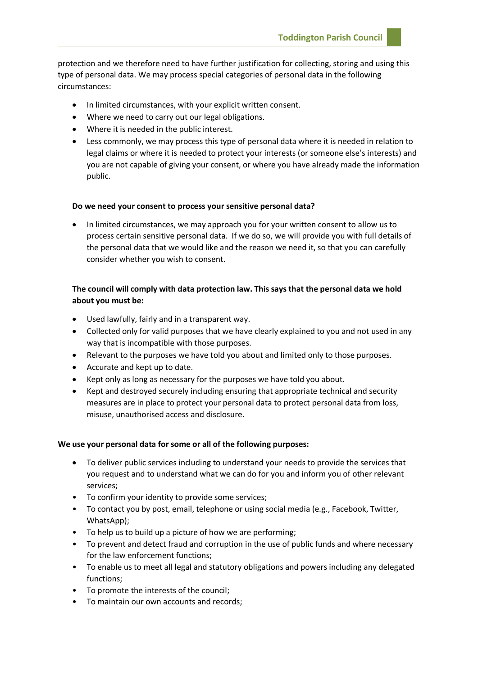protection and we therefore need to have further justification for collecting, storing and using this type of personal data. We may process special categories of personal data in the following circumstances:

- In limited circumstances, with your explicit written consent.
- Where we need to carry out our legal obligations.
- Where it is needed in the public interest.
- Less commonly, we may process this type of personal data where it is needed in relation to legal claims or where it is needed to protect your interests (or someone else's interests) and you are not capable of giving your consent, or where you have already made the information public.

#### **Do we need your consent to process your sensitive personal data?**

• In limited circumstances, we may approach you for your written consent to allow us to process certain sensitive personal data. If we do so, we will provide you with full details of the personal data that we would like and the reason we need it, so that you can carefully consider whether you wish to consent.

# **The council will comply with data protection law. This says that the personal data we hold about you must be:**

- Used lawfully, fairly and in a transparent way.
- Collected only for valid purposes that we have clearly explained to you and not used in any way that is incompatible with those purposes.
- Relevant to the purposes we have told you about and limited only to those purposes.
- Accurate and kept up to date.
- Kept only as long as necessary for the purposes we have told you about.
- Kept and destroyed securely including ensuring that appropriate technical and security measures are in place to protect your personal data to protect personal data from loss, misuse, unauthorised access and disclosure.

#### **We use your personal data for some or all of the following purposes:**

- To deliver public services including to understand your needs to provide the services that you request and to understand what we can do for you and inform you of other relevant services;
- To confirm your identity to provide some services;
- To contact you by post, email, telephone or using social media (e.g., Facebook, Twitter, WhatsApp);
- To help us to build up a picture of how we are performing;
- To prevent and detect fraud and corruption in the use of public funds and where necessary for the law enforcement functions;
- To enable us to meet all legal and statutory obligations and powers including any delegated functions;
- To promote the interests of the council;
- To maintain our own accounts and records;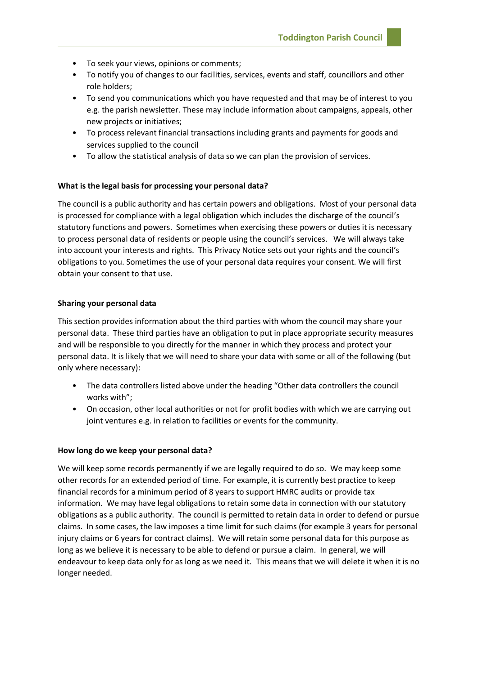- To seek your views, opinions or comments;
- To notify you of changes to our facilities, services, events and staff, councillors and other role holders;
- To send you communications which you have requested and that may be of interest to you e.g. the parish newsletter. These may include information about campaigns, appeals, other new projects or initiatives;
- To process relevant financial transactions including grants and payments for goods and services supplied to the council
- To allow the statistical analysis of data so we can plan the provision of services.

#### **What is the legal basis for processing your personal data?**

The council is a public authority and has certain powers and obligations. Most of your personal data is processed for compliance with a legal obligation which includes the discharge of the council's statutory functions and powers. Sometimes when exercising these powers or duties it is necessary to process personal data of residents or people using the council's services. We will always take into account your interests and rights. This Privacy Notice sets out your rights and the council's obligations to you. Sometimes the use of your personal data requires your consent. We will first obtain your consent to that use.

#### **Sharing your personal data**

This section provides information about the third parties with whom the council may share your personal data. These third parties have an obligation to put in place appropriate security measures and will be responsible to you directly for the manner in which they process and protect your personal data. It is likely that we will need to share your data with some or all of the following (but only where necessary):

- The data controllers listed above under the heading "Other data controllers the council works with";
- On occasion, other local authorities or not for profit bodies with which we are carrying out joint ventures e.g. in relation to facilities or events for the community.

#### **How long do we keep your personal data?**

We will keep some records permanently if we are legally required to do so. We may keep some other records for an extended period of time. For example, it is currently best practice to keep financial records for a minimum period of 8 years to support HMRC audits or provide tax information. We may have legal obligations to retain some data in connection with our statutory obligations as a public authority. The council is permitted to retain data in order to defend or pursue claims. In some cases, the law imposes a time limit for such claims (for example 3 years for personal injury claims or 6 years for contract claims). We will retain some personal data for this purpose as long as we believe it is necessary to be able to defend or pursue a claim. In general, we will endeavour to keep data only for as long as we need it. This means that we will delete it when it is no longer needed.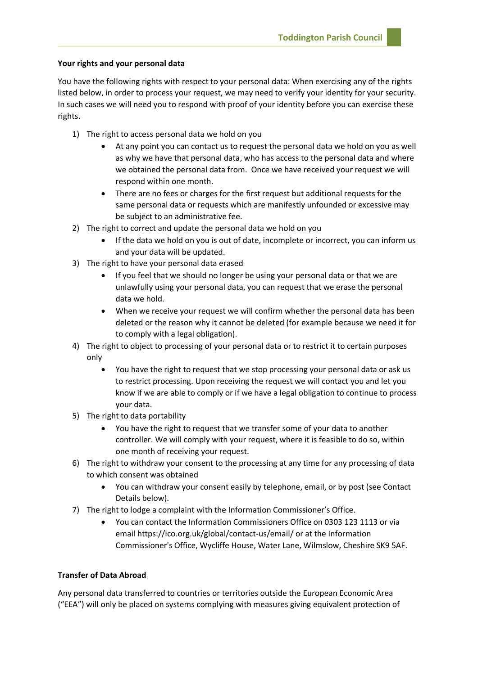# **Your rights and your personal data**

You have the following rights with respect to your personal data: When exercising any of the rights listed below, in order to process your request, we may need to verify your identity for your security. In such cases we will need you to respond with proof of your identity before you can exercise these rights.

- 1) The right to access personal data we hold on you
	- At any point you can contact us to request the personal data we hold on you as well as why we have that personal data, who has access to the personal data and where we obtained the personal data from. Once we have received your request we will respond within one month.
	- There are no fees or charges for the first request but additional requests for the same personal data or requests which are manifestly unfounded or excessive may be subject to an administrative fee.
- 2) The right to correct and update the personal data we hold on you
	- If the data we hold on you is out of date, incomplete or incorrect, you can inform us and your data will be updated.
- 3) The right to have your personal data erased
	- If you feel that we should no longer be using your personal data or that we are unlawfully using your personal data, you can request that we erase the personal data we hold.
	- When we receive your request we will confirm whether the personal data has been deleted or the reason why it cannot be deleted (for example because we need it for to comply with a legal obligation).
- 4) The right to object to processing of your personal data or to restrict it to certain purposes only
	- You have the right to request that we stop processing your personal data or ask us to restrict processing. Upon receiving the request we will contact you and let you know if we are able to comply or if we have a legal obligation to continue to process your data.
- 5) The right to data portability
	- You have the right to request that we transfer some of your data to another controller. We will comply with your request, where it is feasible to do so, within one month of receiving your request.
- 6) The right to withdraw your consent to the processing at any time for any processing of data to which consent was obtained
	- You can withdraw your consent easily by telephone, email, or by post (see Contact Details below).
- 7) The right to lodge a complaint with the Information Commissioner's Office.
	- You can contact the Information Commissioners Office on 0303 123 1113 or via email https://ico.org.uk/global/contact-us/email/ or at the Information Commissioner's Office, Wycliffe House, Water Lane, Wilmslow, Cheshire SK9 5AF.

# **Transfer of Data Abroad**

Any personal data transferred to countries or territories outside the European Economic Area ("EEA") will only be placed on systems complying with measures giving equivalent protection of